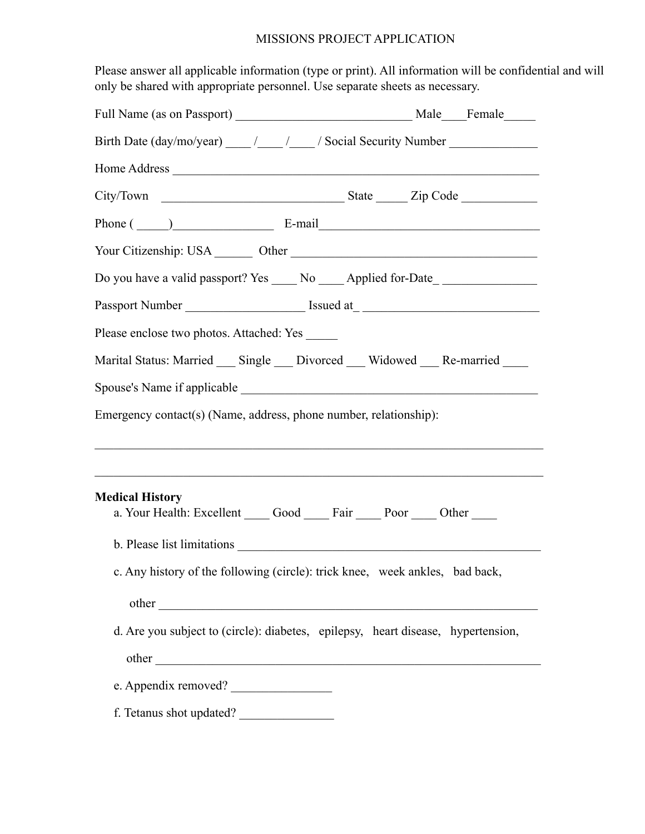## MISSIONS PROJECT APPLICATION

Please answer all applicable information (type or print). All information will be confidential and will only be shared with appropriate personnel. Use separate sheets as necessary.

| Birth Date (day/mo/year) _____ /_____ /_____ / Social Security Number __________  |                                                                                  |
|-----------------------------------------------------------------------------------|----------------------------------------------------------------------------------|
|                                                                                   |                                                                                  |
|                                                                                   |                                                                                  |
| Phone $(\_\_)$ E-mail E-mail                                                      |                                                                                  |
|                                                                                   |                                                                                  |
| Do you have a valid passport? Yes ______ No ______ Applied for-Date______________ |                                                                                  |
| Passport Number ____________________________ Issued at _ ________________________ |                                                                                  |
| Please enclose two photos. Attached: Yes ______                                   |                                                                                  |
| Marital Status: Married ___ Single ___ Divorced ___ Widowed ___ Re-married ____   |                                                                                  |
|                                                                                   |                                                                                  |
| Emergency contact(s) (Name, address, phone number, relationship):                 |                                                                                  |
|                                                                                   |                                                                                  |
|                                                                                   |                                                                                  |
| <b>Medical History</b>                                                            |                                                                                  |
| a. Your Health: Excellent Good Fair Door Other                                    |                                                                                  |
|                                                                                   |                                                                                  |
| c. Any history of the following (circle): trick knee, week ankles, bad back,      |                                                                                  |
|                                                                                   |                                                                                  |
|                                                                                   | d. Are you subject to (circle): diabetes, epilepsy, heart disease, hypertension, |
|                                                                                   |                                                                                  |
|                                                                                   |                                                                                  |
| e. Appendix removed?                                                              |                                                                                  |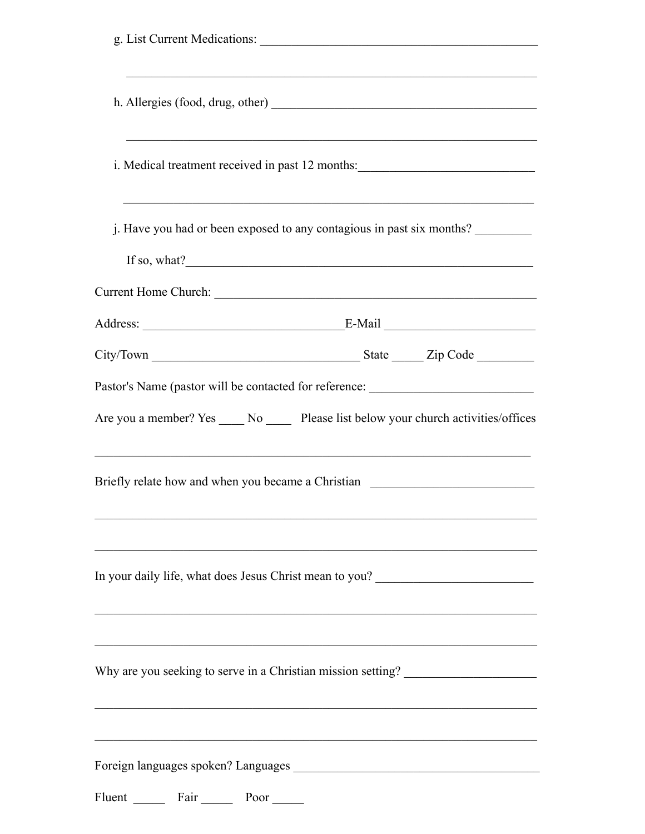| g. List Current Medications:                                                                                                                          |
|-------------------------------------------------------------------------------------------------------------------------------------------------------|
|                                                                                                                                                       |
| i. Medical treatment received in past 12 months:                                                                                                      |
| j. Have you had or been exposed to any contagious in past six months?                                                                                 |
|                                                                                                                                                       |
|                                                                                                                                                       |
|                                                                                                                                                       |
| Pastor's Name (pastor will be contacted for reference: _________________________                                                                      |
| Are you a member? Yes _____ No ______ Please list below your church activities/offices                                                                |
| <u> 1999 - Johann John Stone, Amerikaansk politiker (d. 1999)</u><br>Briefly relate how and when you became a Christian _____________________________ |
| In your daily life, what does Jesus Christ mean to you?                                                                                               |
| Why are you seeking to serve in a Christian mission setting?                                                                                          |
|                                                                                                                                                       |
| Fluent Fair<br>Poor                                                                                                                                   |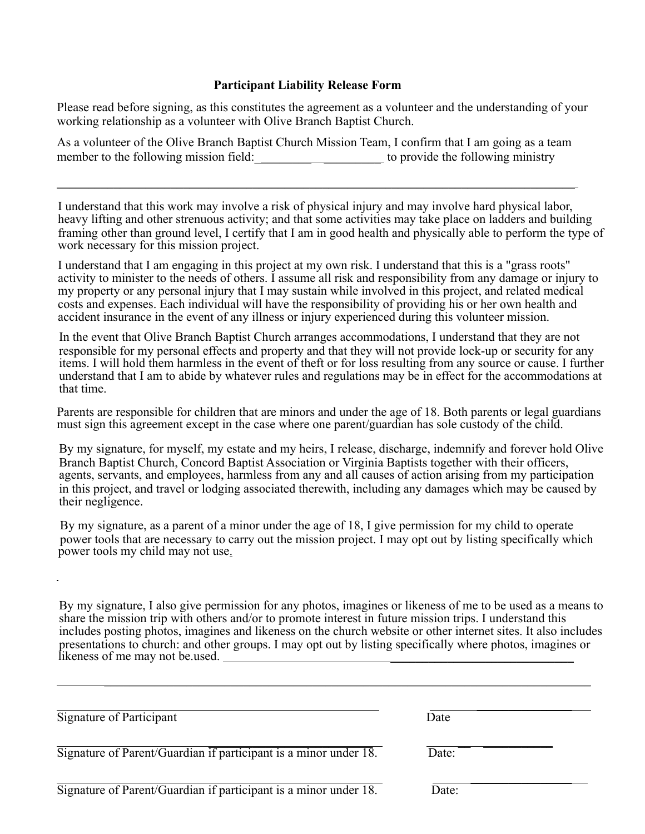## **Participant Liability Release Form**

Please read before signing, as this constitutes the agreement as a volunteer and the understanding of your working relationship as a volunteer with Olive Branch Baptist Church.

As a volunteer of the Olive Branch Baptist Church Mission Team, I confirm that I am going as a team member to the following mission field:\_\_\_\_\_\_\_\_\_ \_\_\_\_\_\_\_\_\_ to provide the following ministry

\_\_\_\_\_\_\_\_\_\_\_\_\_\_\_\_\_\_\_\_\_\_\_\_\_\_\_\_\_\_\_\_\_\_\_\_\_\_\_\_\_\_\_\_\_\_\_\_\_\_\_\_\_\_\_\_\_\_\_\_\_\_\_\_\_\_\_\_\_\_\_\_\_\_\_\_\_\_\_\_\_\_

I understand that this work may involve a risk of physical injury and may involve hard physical labor, heavy lifting and other strenuous activity; and that some activities may take place on ladders and building framing other than ground level, I certify that I am in good health and physically able to perform the type of work necessary for this mission project.

I understand that I am engaging in this project at my own risk. I understand that this is a "grass roots" activity to minister to the needs of others. I assume all risk and responsibility from any damage or injury to my property or any personal injury that I may sustain while involved in this project, and related medical costs and expenses. Each individual will have the responsibility of providing his or her own health and accident insurance in the event of any illness or injury experienced during this volunteer mission.

In the event that Olive Branch Baptist Church arranges accommodations, I understand that they are not responsible for my personal effects and property and that they will not provide lock-up or security for any items. I will hold them harmless in the event of theft or for loss resulting from any source or cause. I further understand that I am to abide by whatever rules and regulations may be in effect for the accommodations at that time.

Parents are responsible for children that are minors and under the age of 18. Both parents or legal guardians must sign this agreement except in the case where one parent/guardian has sole custody of the child.

By my signature, for myself, my estate and my heirs, I release, discharge, indemnify and forever hold Olive Branch Baptist Church, Concord Baptist Association or Virginia Baptists together with their officers, agents, servants, and employees, harmless from any and all causes of action arising from my participation in this project, and travel or lodging associated therewith, including any damages which may be caused by their negligence.

By my signature, as a parent of a minor under the age of 18, I give permission for my child to operate power tools that are necessary to carry out the mission project. I may opt out by listing specifically which power tools my child may not use.

 $\overline{a}$ 

By my signature, I also give permission for any photos, imagines or likeness of me to be used as a means to share the mission trip with others and/or to promote interest in future mission trips. I understand this includes posting photos, imagines and likeness on the church website or other internet sites. It also includes presentations to church: and other groups. I may opt out by listing specifically where photos, imagines or likeness of me may not be used.

| Signature of Participant                                         | Date  |
|------------------------------------------------------------------|-------|
| Signature of Parent/Guardian if participant is a minor under 18. | Date: |
| Signature of Parent/Guardian if participant is a minor under 18. | Date: |